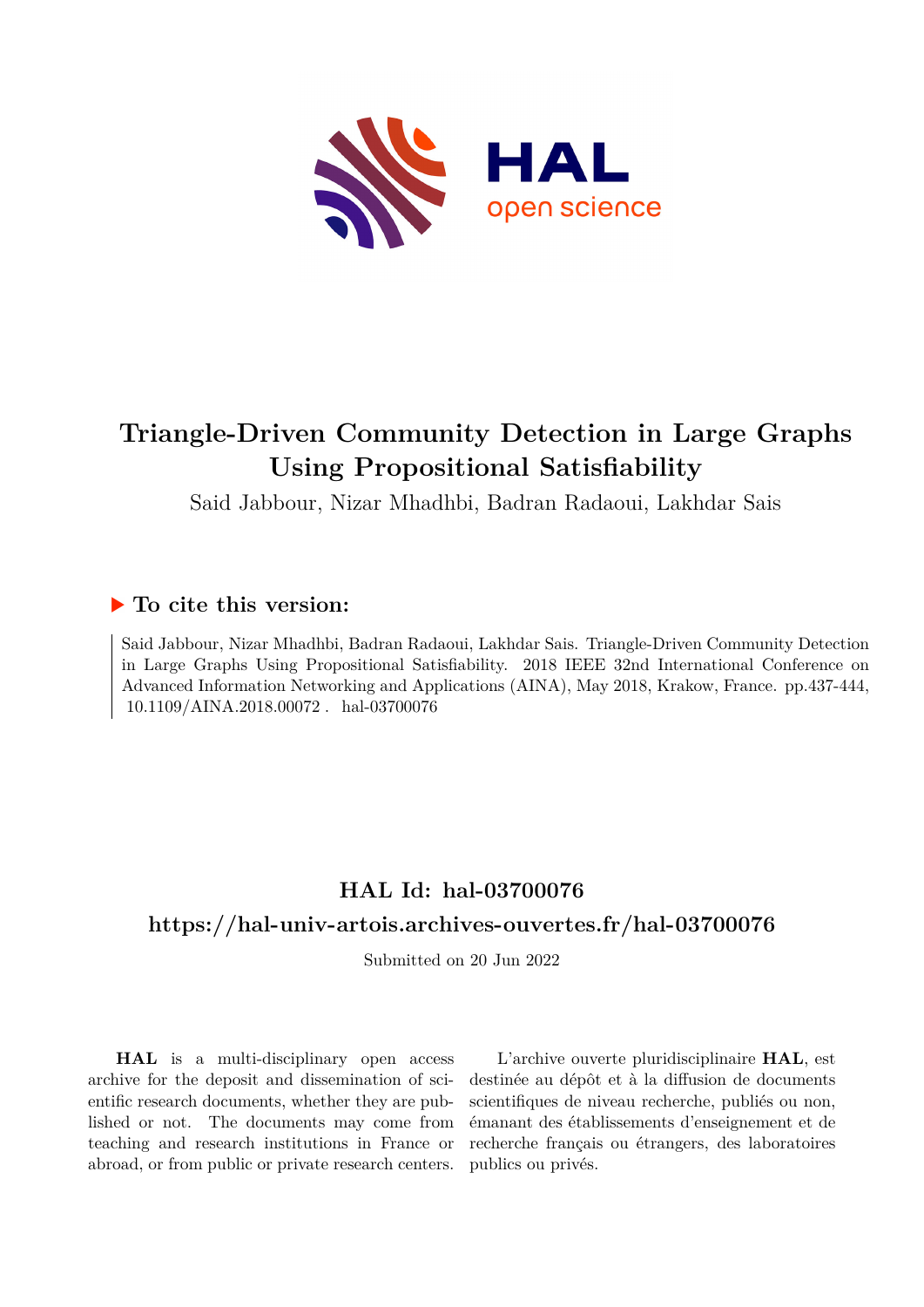

# **Triangle-Driven Community Detection in Large Graphs Using Propositional Satisfiability**

Said Jabbour, Nizar Mhadhbi, Badran Radaoui, Lakhdar Sais

## **To cite this version:**

Said Jabbour, Nizar Mhadhbi, Badran Radaoui, Lakhdar Sais. Triangle-Driven Community Detection in Large Graphs Using Propositional Satisfiability. 2018 IEEE 32nd International Conference on Advanced Information Networking and Applications (AINA), May 2018, Krakow, France. pp.437-444,  $10.1109/AINA.2018.00072$ . hal-03700076

## **HAL Id: hal-03700076**

### **<https://hal-univ-artois.archives-ouvertes.fr/hal-03700076>**

Submitted on 20 Jun 2022

**HAL** is a multi-disciplinary open access archive for the deposit and dissemination of scientific research documents, whether they are published or not. The documents may come from teaching and research institutions in France or abroad, or from public or private research centers.

L'archive ouverte pluridisciplinaire **HAL**, est destinée au dépôt et à la diffusion de documents scientifiques de niveau recherche, publiés ou non, émanant des établissements d'enseignement et de recherche français ou étrangers, des laboratoires publics ou privés.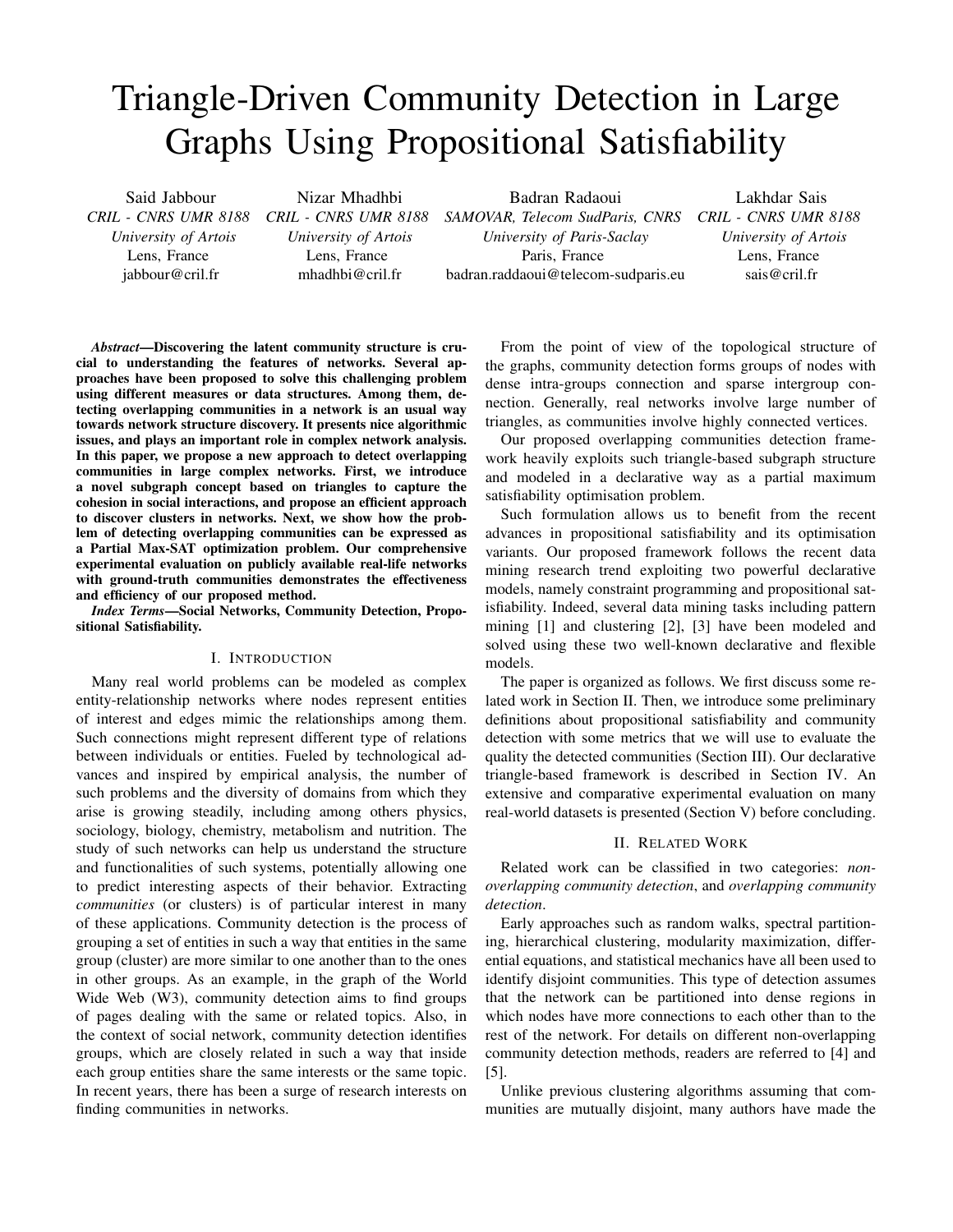# Triangle-Driven Community Detection in Large Graphs Using Propositional Satisfiability

Said Jabbour *CRIL - CNRS UMR 8188 University of Artois* Lens, France jabbour@cril.fr

Nizar Mhadhbi *CRIL - CNRS UMR 8188 University of Artois* Lens, France mhadhbi@cril.fr

Badran Radaoui *SAMOVAR, Telecom SudParis, CNRS University of Paris-Saclay* Paris, France badran.raddaoui@telecom-sudparis.eu

Lakhdar Sais *CRIL - CNRS UMR 8188 University of Artois* Lens, France sais@cril.fr

*Abstract*—Discovering the latent community structure is crucial to understanding the features of networks. Several approaches have been proposed to solve this challenging problem using different measures or data structures. Among them, detecting overlapping communities in a network is an usual way towards network structure discovery. It presents nice algorithmic issues, and plays an important role in complex network analysis. In this paper, we propose a new approach to detect overlapping communities in large complex networks. First, we introduce a novel subgraph concept based on triangles to capture the cohesion in social interactions, and propose an efficient approach to discover clusters in networks. Next, we show how the problem of detecting overlapping communities can be expressed as a Partial Max-SAT optimization problem. Our comprehensive experimental evaluation on publicly available real-life networks with ground-truth communities demonstrates the effectiveness and efficiency of our proposed method.

*Index Terms*—Social Networks, Community Detection, Propositional Satisfiability.

#### I. INTRODUCTION

Many real world problems can be modeled as complex entity-relationship networks where nodes represent entities of interest and edges mimic the relationships among them. Such connections might represent different type of relations between individuals or entities. Fueled by technological advances and inspired by empirical analysis, the number of such problems and the diversity of domains from which they arise is growing steadily, including among others physics, sociology, biology, chemistry, metabolism and nutrition. The study of such networks can help us understand the structure and functionalities of such systems, potentially allowing one to predict interesting aspects of their behavior. Extracting *communities* (or clusters) is of particular interest in many of these applications. Community detection is the process of grouping a set of entities in such a way that entities in the same group (cluster) are more similar to one another than to the ones in other groups. As an example, in the graph of the World Wide Web (W3), community detection aims to find groups of pages dealing with the same or related topics. Also, in the context of social network, community detection identifies groups, which are closely related in such a way that inside each group entities share the same interests or the same topic. In recent years, there has been a surge of research interests on finding communities in networks.

From the point of view of the topological structure of the graphs, community detection forms groups of nodes with dense intra-groups connection and sparse intergroup connection. Generally, real networks involve large number of triangles, as communities involve highly connected vertices.

Our proposed overlapping communities detection framework heavily exploits such triangle-based subgraph structure and modeled in a declarative way as a partial maximum satisfiability optimisation problem.

Such formulation allows us to benefit from the recent advances in propositional satisfiability and its optimisation variants. Our proposed framework follows the recent data mining research trend exploiting two powerful declarative models, namely constraint programming and propositional satisfiability. Indeed, several data mining tasks including pattern mining [1] and clustering [2], [3] have been modeled and solved using these two well-known declarative and flexible models.

The paper is organized as follows. We first discuss some related work in Section II. Then, we introduce some preliminary definitions about propositional satisfiability and community detection with some metrics that we will use to evaluate the quality the detected communities (Section III). Our declarative triangle-based framework is described in Section IV. An extensive and comparative experimental evaluation on many real-world datasets is presented (Section V) before concluding.

#### II. RELATED WORK

Related work can be classified in two categories: *nonoverlapping community detection*, and *overlapping community detection*.

Early approaches such as random walks, spectral partitioning, hierarchical clustering, modularity maximization, differential equations, and statistical mechanics have all been used to identify disjoint communities. This type of detection assumes that the network can be partitioned into dense regions in which nodes have more connections to each other than to the rest of the network. For details on different non-overlapping community detection methods, readers are referred to [4] and [5].

Unlike previous clustering algorithms assuming that communities are mutually disjoint, many authors have made the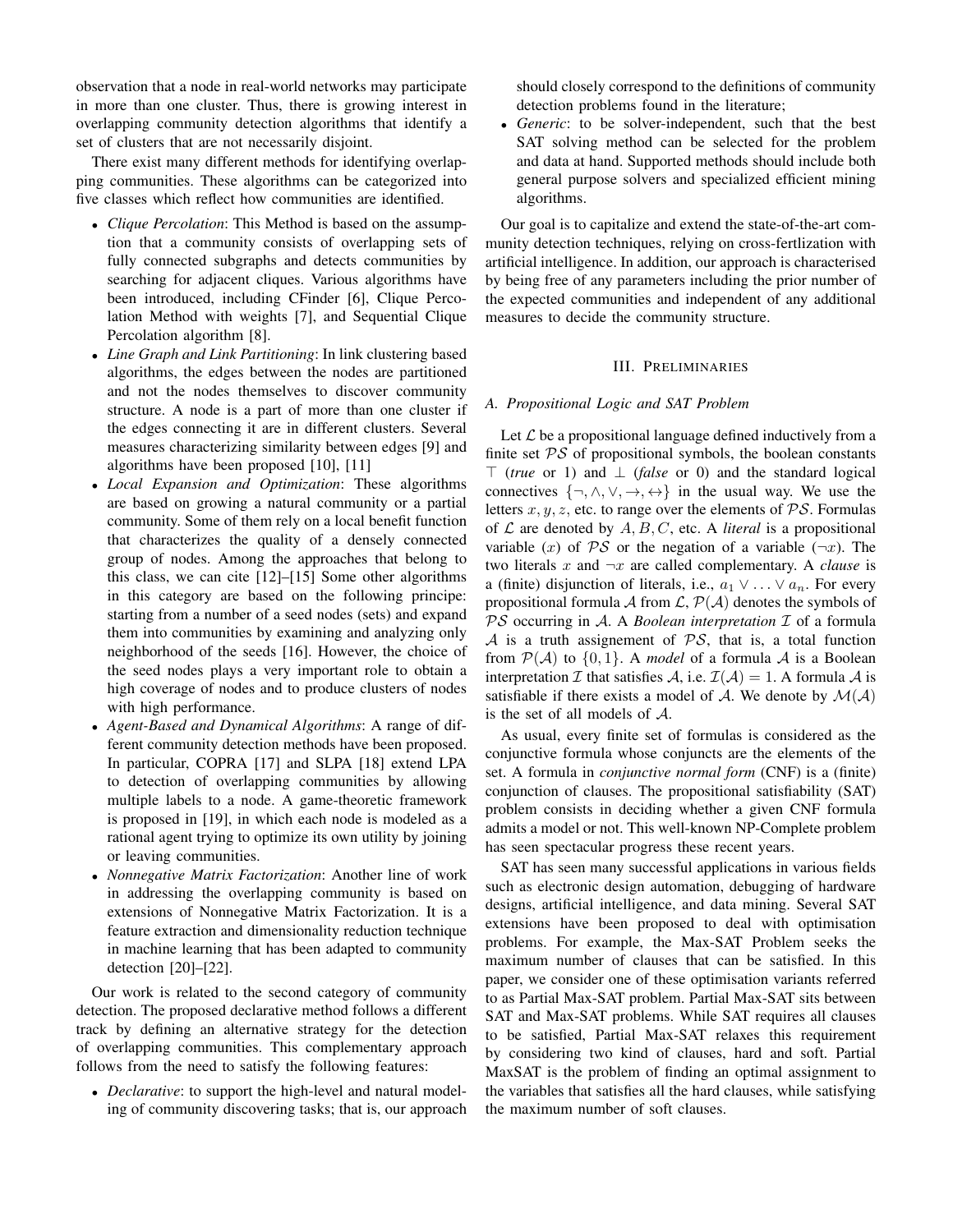observation that a node in real-world networks may participate in more than one cluster. Thus, there is growing interest in overlapping community detection algorithms that identify a set of clusters that are not necessarily disjoint.

There exist many different methods for identifying overlapping communities. These algorithms can be categorized into five classes which reflect how communities are identified.

- *Clique Percolation*: This Method is based on the assumption that a community consists of overlapping sets of fully connected subgraphs and detects communities by searching for adjacent cliques. Various algorithms have been introduced, including CFinder [6], Clique Percolation Method with weights [7], and Sequential Clique Percolation algorithm [8].
- *Line Graph and Link Partitioning*: In link clustering based algorithms, the edges between the nodes are partitioned and not the nodes themselves to discover community structure. A node is a part of more than one cluster if the edges connecting it are in different clusters. Several measures characterizing similarity between edges [9] and algorithms have been proposed [10], [11]
- *Local Expansion and Optimization*: These algorithms are based on growing a natural community or a partial community. Some of them rely on a local benefit function that characterizes the quality of a densely connected group of nodes. Among the approaches that belong to this class, we can cite [12]–[15] Some other algorithms in this category are based on the following principe: starting from a number of a seed nodes (sets) and expand them into communities by examining and analyzing only neighborhood of the seeds [16]. However, the choice of the seed nodes plays a very important role to obtain a high coverage of nodes and to produce clusters of nodes with high performance.
- *Agent-Based and Dynamical Algorithms*: A range of different community detection methods have been proposed. In particular, COPRA [17] and SLPA [18] extend LPA to detection of overlapping communities by allowing multiple labels to a node. A game-theoretic framework is proposed in [19], in which each node is modeled as a rational agent trying to optimize its own utility by joining or leaving communities.
- *Nonnegative Matrix Factorization*: Another line of work in addressing the overlapping community is based on extensions of Nonnegative Matrix Factorization. It is a feature extraction and dimensionality reduction technique in machine learning that has been adapted to community detection [20]–[22].

Our work is related to the second category of community detection. The proposed declarative method follows a different track by defining an alternative strategy for the detection of overlapping communities. This complementary approach follows from the need to satisfy the following features:

• *Declarative*: to support the high-level and natural modeling of community discovering tasks; that is, our approach should closely correspond to the definitions of community detection problems found in the literature;

• *Generic*: to be solver-independent, such that the best SAT solving method can be selected for the problem and data at hand. Supported methods should include both general purpose solvers and specialized efficient mining algorithms.

Our goal is to capitalize and extend the state-of-the-art community detection techniques, relying on cross-fertlization with artificial intelligence. In addition, our approach is characterised by being free of any parameters including the prior number of the expected communities and independent of any additional measures to decide the community structure.

#### III. PRELIMINARIES

#### *A. Propositional Logic and SAT Problem*

Let  $\mathcal L$  be a propositional language defined inductively from a finite set  $PS$  of propositional symbols, the boolean constants > (*true* or 1) and ⊥ (*false* or 0) and the standard logical connectives  $\{\neg, \wedge, \vee, \rightarrow, \leftrightarrow\}$  in the usual way. We use the letters  $x, y, z$ , etc. to range over the elements of  $\mathcal{PS}$ . Formulas of  $\mathcal L$  are denoted by  $A, B, C$ , etc. A *literal* is a propositional variable (x) of  $PS$  or the negation of a variable  $(\neg x)$ . The two literals  $x$  and  $\neg x$  are called complementary. A *clause* is a (finite) disjunction of literals, i.e.,  $a_1 \vee \ldots \vee a_n$ . For every propositional formula A from  $\mathcal{L}, \mathcal{P}(\mathcal{A})$  denotes the symbols of PS occurring in A. A *Boolean interpretation* I of a formula A is a truth assignement of  $PS$ , that is, a total function from  $\mathcal{P}(\mathcal{A})$  to  $\{0,1\}$ . A *model* of a formula  $\mathcal{A}$  is a Boolean interpretation  $\mathcal I$  that satisfies  $\mathcal A$ , i.e.  $\mathcal I(\mathcal A)=1$ . A formula  $\mathcal A$  is satisfiable if there exists a model of A. We denote by  $\mathcal{M}(\mathcal{A})$ is the set of all models of A.

As usual, every finite set of formulas is considered as the conjunctive formula whose conjuncts are the elements of the set. A formula in *conjunctive normal form* (CNF) is a (finite) conjunction of clauses. The propositional satisfiability (SAT) problem consists in deciding whether a given CNF formula admits a model or not. This well-known NP-Complete problem has seen spectacular progress these recent years.

SAT has seen many successful applications in various fields such as electronic design automation, debugging of hardware designs, artificial intelligence, and data mining. Several SAT extensions have been proposed to deal with optimisation problems. For example, the Max-SAT Problem seeks the maximum number of clauses that can be satisfied. In this paper, we consider one of these optimisation variants referred to as Partial Max-SAT problem. Partial Max-SAT sits between SAT and Max-SAT problems. While SAT requires all clauses to be satisfied, Partial Max-SAT relaxes this requirement by considering two kind of clauses, hard and soft. Partial MaxSAT is the problem of finding an optimal assignment to the variables that satisfies all the hard clauses, while satisfying the maximum number of soft clauses.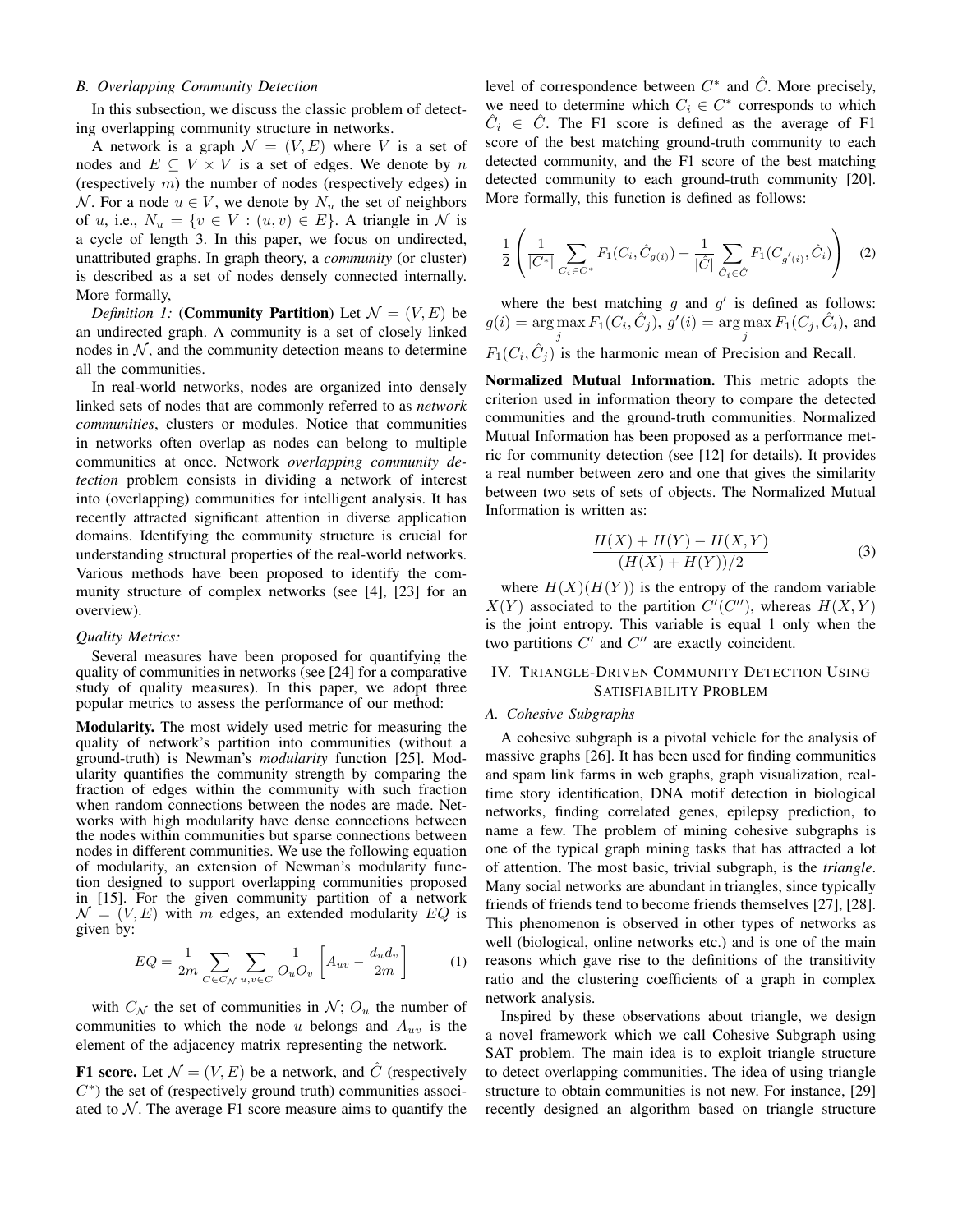#### *B. Overlapping Community Detection*

In this subsection, we discuss the classic problem of detecting overlapping community structure in networks.

A network is a graph  $\mathcal{N} = (V, E)$  where V is a set of nodes and  $E \subseteq V \times V$  is a set of edges. We denote by n (respectively  $m$ ) the number of nodes (respectively edges) in N. For a node  $u \in V$ , we denote by  $N_u$  the set of neighbors of u, i.e.,  $N_u = \{v \in V : (u, v) \in E\}$ . A triangle in N is a cycle of length 3. In this paper, we focus on undirected, unattributed graphs. In graph theory, a *community* (or cluster) is described as a set of nodes densely connected internally. More formally,

*Definition 1:* (**Community Partition**) Let  $\mathcal{N} = (V, E)$  be an undirected graph. A community is a set of closely linked nodes in  $N$ , and the community detection means to determine all the communities.

In real-world networks, nodes are organized into densely linked sets of nodes that are commonly referred to as *network communities*, clusters or modules. Notice that communities in networks often overlap as nodes can belong to multiple communities at once. Network *overlapping community detection* problem consists in dividing a network of interest into (overlapping) communities for intelligent analysis. It has recently attracted significant attention in diverse application domains. Identifying the community structure is crucial for understanding structural properties of the real-world networks. Various methods have been proposed to identify the community structure of complex networks (see [4], [23] for an overview).

#### *Quality Metrics:*

Several measures have been proposed for quantifying the quality of communities in networks (see [24] for a comparative study of quality measures). In this paper, we adopt three popular metrics to assess the performance of our method:

Modularity. The most widely used metric for measuring the quality of network's partition into communities (without a ground-truth) is Newman's *modularity* function [25]. Modularity quantifies the community strength by comparing the fraction of edges within the community with such fraction when random connections between the nodes are made. Networks with high modularity have dense connections between the nodes within communities but sparse connections between nodes in different communities. We use the following equation of modularity, an extension of Newman's modularity function designed to support overlapping communities proposed in [15]. For the given community partition of a network  $\mathcal{N} = (V, E)$  with m edges, an extended modularity EQ is given by:

$$
EQ = \frac{1}{2m} \sum_{C \in C_{\mathcal{N}}} \sum_{u,v \in C} \frac{1}{O_u O_v} \left[ A_{uv} - \frac{d_u d_v}{2m} \right]
$$
 (1)

with  $C_{\mathcal{N}}$  the set of communities in  $\mathcal{N}$ ;  $O_u$  the number of communities to which the node u belongs and  $A_{uv}$  is the element of the adjacency matrix representing the network.

**F1 score.** Let  $\mathcal{N} = (V, E)$  be a network, and  $\hat{C}$  (respectively  $C^*$ ) the set of (respectively ground truth) communities associated to  $N$ . The average F1 score measure aims to quantify the

level of correspondence between  $C^*$  and  $\hat{C}$ . More precisely, we need to determine which  $C_i \in C^*$  corresponds to which  $\hat{C}_i \in \hat{C}$ . The F1 score is defined as the average of F1 score of the best matching ground-truth community to each detected community, and the F1 score of the best matching detected community to each ground-truth community [20]. More formally, this function is defined as follows:

$$
\frac{1}{2} \left( \frac{1}{|C^*|} \sum_{C_i \in C^*} F_1(C_i, \hat{C}_{g(i)}) + \frac{1}{|\hat{C}|} \sum_{\hat{C}_i \in \hat{C}} F_1(C_{g'(i)}, \hat{C}_i) \right) \tag{2}
$$

where the best matching  $g$  and  $g'$  is defined as follows:  $g(i) = \arg \max_{j} F_1(C_i, \hat{C}_j), \, g'(i) = \arg \max_{j} F_1(C_j, \hat{C}_i)$ , and  $F_1(C_i, \hat{C}_j)$  is the harmonic mean of Precision and Recall.

Normalized Mutual Information. This metric adopts the criterion used in information theory to compare the detected communities and the ground-truth communities. Normalized Mutual Information has been proposed as a performance metric for community detection (see [12] for details). It provides a real number between zero and one that gives the similarity between two sets of sets of objects. The Normalized Mutual Information is written as:

$$
\frac{H(X) + H(Y) - H(X, Y)}{(H(X) + H(Y))/2}
$$
\n(3)

where  $H(X)(H(Y))$  is the entropy of the random variable  $X(Y)$  associated to the partition  $C'(C'')$ , whereas  $H(X, Y)$ is the joint entropy. This variable is equal 1 only when the two partitions  $C'$  and  $C''$  are exactly coincident.

#### IV. TRIANGLE-DRIVEN COMMUNITY DETECTION USING SATISFIABILITY PROBLEM

#### *A. Cohesive Subgraphs*

A cohesive subgraph is a pivotal vehicle for the analysis of massive graphs [26]. It has been used for finding communities and spam link farms in web graphs, graph visualization, realtime story identification, DNA motif detection in biological networks, finding correlated genes, epilepsy prediction, to name a few. The problem of mining cohesive subgraphs is one of the typical graph mining tasks that has attracted a lot of attention. The most basic, trivial subgraph, is the *triangle*. Many social networks are abundant in triangles, since typically friends of friends tend to become friends themselves [27], [28]. This phenomenon is observed in other types of networks as well (biological, online networks etc.) and is one of the main reasons which gave rise to the definitions of the transitivity ratio and the clustering coefficients of a graph in complex network analysis.

Inspired by these observations about triangle, we design a novel framework which we call Cohesive Subgraph using SAT problem. The main idea is to exploit triangle structure to detect overlapping communities. The idea of using triangle structure to obtain communities is not new. For instance, [29] recently designed an algorithm based on triangle structure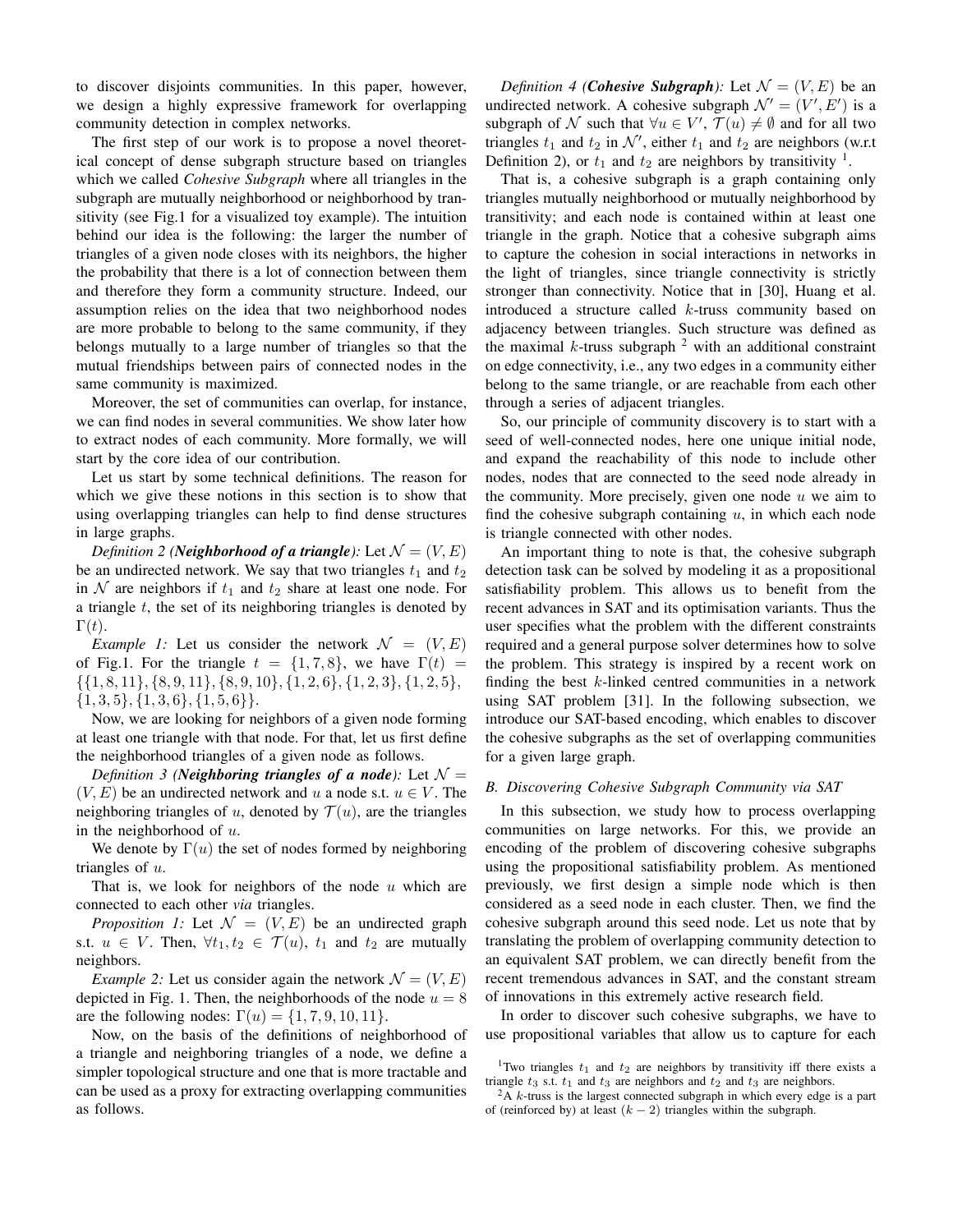to discover disjoints communities. In this paper, however, we design a highly expressive framework for overlapping community detection in complex networks.

The first step of our work is to propose a novel theoretical concept of dense subgraph structure based on triangles which we called *Cohesive Subgraph* where all triangles in the subgraph are mutually neighborhood or neighborhood by transitivity (see Fig.1 for a visualized toy example). The intuition behind our idea is the following: the larger the number of triangles of a given node closes with its neighbors, the higher the probability that there is a lot of connection between them and therefore they form a community structure. Indeed, our assumption relies on the idea that two neighborhood nodes are more probable to belong to the same community, if they belongs mutually to a large number of triangles so that the mutual friendships between pairs of connected nodes in the same community is maximized.

Moreover, the set of communities can overlap, for instance, we can find nodes in several communities. We show later how to extract nodes of each community. More formally, we will start by the core idea of our contribution.

Let us start by some technical definitions. The reason for which we give these notions in this section is to show that using overlapping triangles can help to find dense structures in large graphs.

*Definition 2 (Neighborhood of a triangle):* Let  $\mathcal{N} = (V, E)$ be an undirected network. We say that two triangles  $t_1$  and  $t_2$ in  $N$  are neighbors if  $t_1$  and  $t_2$  share at least one node. For a triangle  $t$ , the set of its neighboring triangles is denoted by  $\Gamma(t)$ .

*Example 1:* Let us consider the network  $\mathcal{N} = (V, E)$ of Fig.1. For the triangle  $t = \{1, 7, 8\}$ , we have  $\Gamma(t) =$  $\{\{1, 8, 11\}, \{8, 9, 11\}, \{8, 9, 10\}, \{1, 2, 6\}, \{1, 2, 3\}, \{1, 2, 5\},\$  $\{1, 3, 5\}, \{1, 3, 6\}, \{1, 5, 6\}.$ 

Now, we are looking for neighbors of a given node forming at least one triangle with that node. For that, let us first define the neighborhood triangles of a given node as follows.

*Definition 3 (Neighboring triangles of a node):* Let  $\mathcal{N} =$  $(V, E)$  be an undirected network and u a node s.t.  $u \in V$ . The neighboring triangles of u, denoted by  $\mathcal{T}(u)$ , are the triangles in the neighborhood of  $u$ .

We denote by  $\Gamma(u)$  the set of nodes formed by neighboring triangles of  $u$ .

That is, we look for neighbors of the node  $u$  which are connected to each other *via* triangles.

*Proposition 1:* Let  $\mathcal{N} = (V, E)$  be an undirected graph s.t.  $u \in V$ . Then,  $\forall t_1, t_2 \in \mathcal{T}(u)$ ,  $t_1$  and  $t_2$  are mutually neighbors.

*Example 2:* Let us consider again the network  $\mathcal{N} = (V, E)$ depicted in Fig. 1. Then, the neighborhoods of the node  $u = 8$ are the following nodes:  $\Gamma(u) = \{1, 7, 9, 10, 11\}.$ 

Now, on the basis of the definitions of neighborhood of a triangle and neighboring triangles of a node, we define a simpler topological structure and one that is more tractable and can be used as a proxy for extracting overlapping communities as follows.

*Definition 4 (Cohesive Subgraph):* Let  $\mathcal{N} = (V, E)$  be an undirected network. A cohesive subgraph  $\mathcal{N}' = (V', E')$  is a subgraph of N such that  $\forall u \in V', \mathcal{T}(u) \neq \emptyset$  and for all two triangles  $t_1$  and  $t_2$  in  $\mathcal{N}'$ , either  $t_1$  and  $t_2$  are neighbors (w.r.t Definition 2), or  $t_1$  and  $t_2$  are neighbors by transitivity <sup>1</sup>.

That is, a cohesive subgraph is a graph containing only triangles mutually neighborhood or mutually neighborhood by transitivity; and each node is contained within at least one triangle in the graph. Notice that a cohesive subgraph aims to capture the cohesion in social interactions in networks in the light of triangles, since triangle connectivity is strictly stronger than connectivity. Notice that in [30], Huang et al. introduced a structure called k-truss community based on adjacency between triangles. Such structure was defined as the maximal k-truss subgraph  $^2$  with an additional constraint on edge connectivity, i.e., any two edges in a community either belong to the same triangle, or are reachable from each other through a series of adjacent triangles.

So, our principle of community discovery is to start with a seed of well-connected nodes, here one unique initial node, and expand the reachability of this node to include other nodes, nodes that are connected to the seed node already in the community. More precisely, given one node  $u$  we aim to find the cohesive subgraph containing  $u$ , in which each node is triangle connected with other nodes.

An important thing to note is that, the cohesive subgraph detection task can be solved by modeling it as a propositional satisfiability problem. This allows us to benefit from the recent advances in SAT and its optimisation variants. Thus the user specifies what the problem with the different constraints required and a general purpose solver determines how to solve the problem. This strategy is inspired by a recent work on finding the best  $k$ -linked centred communities in a network using SAT problem [31]. In the following subsection, we introduce our SAT-based encoding, which enables to discover the cohesive subgraphs as the set of overlapping communities for a given large graph.

#### *B. Discovering Cohesive Subgraph Community via SAT*

In this subsection, we study how to process overlapping communities on large networks. For this, we provide an encoding of the problem of discovering cohesive subgraphs using the propositional satisfiability problem. As mentioned previously, we first design a simple node which is then considered as a seed node in each cluster. Then, we find the cohesive subgraph around this seed node. Let us note that by translating the problem of overlapping community detection to an equivalent SAT problem, we can directly benefit from the recent tremendous advances in SAT, and the constant stream of innovations in this extremely active research field.

In order to discover such cohesive subgraphs, we have to use propositional variables that allow us to capture for each

<sup>&</sup>lt;sup>1</sup>Two triangles  $t_1$  and  $t_2$  are neighbors by transitivity iff there exists a triangle  $t_3$  s.t.  $t_1$  and  $t_3$  are neighbors and  $t_2$  and  $t_3$  are neighbors.

 $2A$  k-truss is the largest connected subgraph in which every edge is a part of (reinforced by) at least  $(k - 2)$  triangles within the subgraph.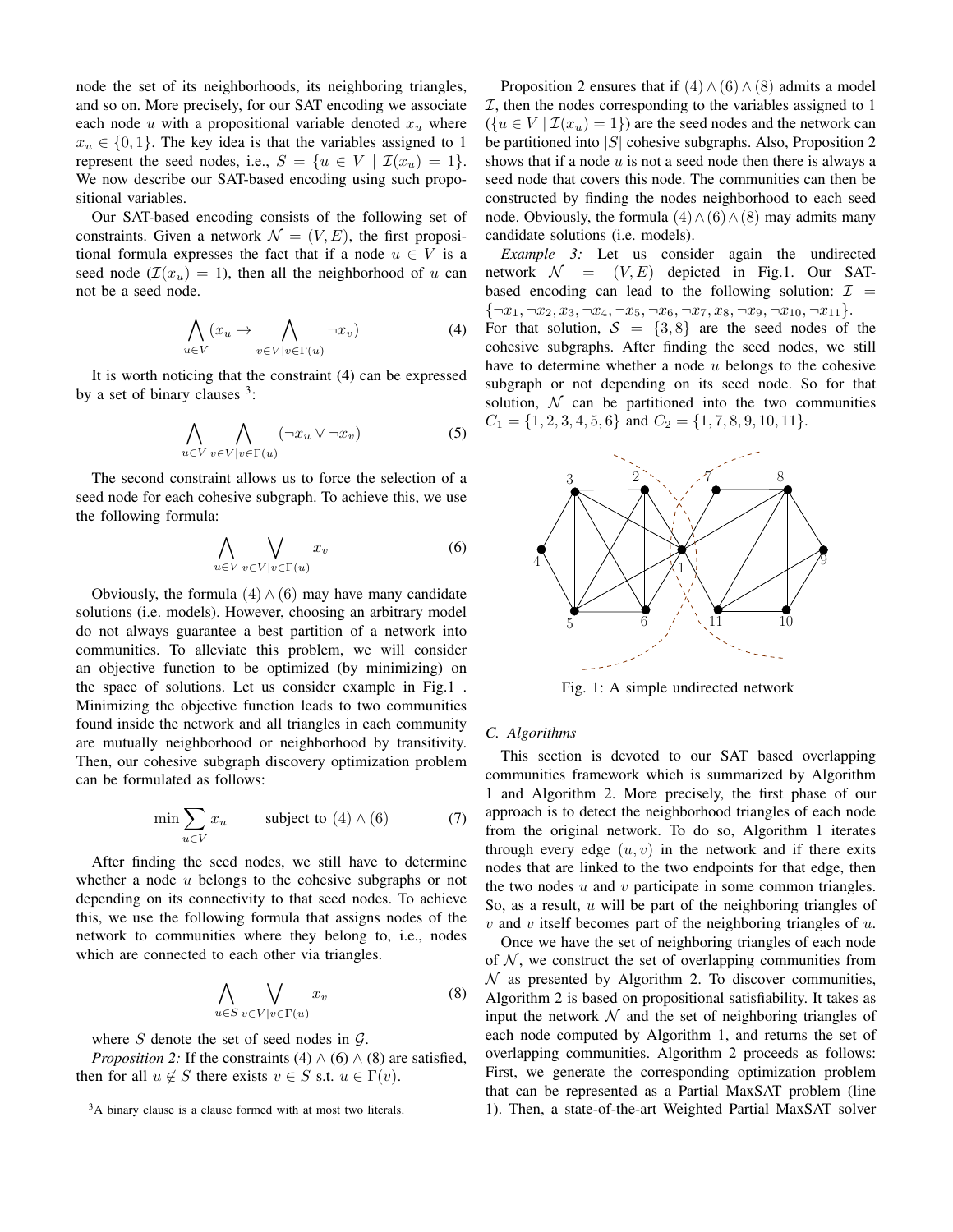node the set of its neighborhoods, its neighboring triangles, and so on. More precisely, for our SAT encoding we associate each node u with a propositional variable denoted  $x_u$  where  $x_u \in \{0, 1\}$ . The key idea is that the variables assigned to 1 represent the seed nodes, i.e.,  $S = \{u \in V \mid \mathcal{I}(x_u) = 1\}.$ We now describe our SAT-based encoding using such propositional variables.

Our SAT-based encoding consists of the following set of constraints. Given a network  $\mathcal{N} = (V, E)$ , the first propositional formula expresses the fact that if a node  $u \in V$  is a seed node  $(\mathcal{I}(x_u) = 1)$ , then all the neighborhood of u can not be a seed node.

$$
\bigwedge_{u \in V} (x_u \to \bigwedge_{v \in V | v \in \Gamma(u)} \neg x_v) \tag{4}
$$

It is worth noticing that the constraint (4) can be expressed by a set of binary clauses  $3$ :

$$
\bigwedge_{u \in V} \bigwedge_{v \in V | v \in \Gamma(u)} (\neg x_u \lor \neg x_v) \tag{5}
$$

The second constraint allows us to force the selection of a seed node for each cohesive subgraph. To achieve this, we use the following formula:

$$
\bigwedge_{u \in V} \bigvee_{v \in V|v \in \Gamma(u)} x_v \tag{6}
$$

Obviously, the formula  $(4) \wedge (6)$  may have many candidate solutions (i.e. models). However, choosing an arbitrary model do not always guarantee a best partition of a network into communities. To alleviate this problem, we will consider an objective function to be optimized (by minimizing) on the space of solutions. Let us consider example in Fig.1 . Minimizing the objective function leads to two communities found inside the network and all triangles in each community are mutually neighborhood or neighborhood by transitivity. Then, our cohesive subgraph discovery optimization problem can be formulated as follows:

$$
\min \sum_{u \in V} x_u \qquad \text{subject to (4)} \land (6) \tag{7}
$$

After finding the seed nodes, we still have to determine whether a node  $u$  belongs to the cohesive subgraphs or not depending on its connectivity to that seed nodes. To achieve this, we use the following formula that assigns nodes of the network to communities where they belong to, i.e., nodes which are connected to each other via triangles.

$$
\bigwedge_{u \in S} \bigvee_{v \in V | v \in \Gamma(u)} x_v \tag{8}
$$

where  $S$  denote the set of seed nodes in  $G$ .

*Proposition 2:* If the constraints (4)  $\wedge$  (6)  $\wedge$  (8) are satisfied, then for all  $u \notin S$  there exists  $v \in S$  s.t.  $u \in \Gamma(v)$ .

Proposition 2 ensures that if  $(4) \wedge (6) \wedge (8)$  admits a model  $I$ , then the nodes corresponding to the variables assigned to 1  $({u \in V | \mathcal{I}(x_u) = 1})$  are the seed nodes and the network can be partitioned into  $|S|$  cohesive subgraphs. Also, Proposition 2 shows that if a node  $u$  is not a seed node then there is always a seed node that covers this node. The communities can then be constructed by finding the nodes neighborhood to each seed node. Obviously, the formula  $(4) \wedge (6) \wedge (8)$  may admits many candidate solutions (i.e. models).

*Example 3:* Let us consider again the undirected network  $\mathcal{N} = (V, E)$  depicted in Fig.1. Our SATbased encoding can lead to the following solution:  $I =$  ${\lbrace \neg x_1, \neg x_2, x_3, \neg x_4, \neg x_5, \neg x_6, \neg x_7, x_8, \neg x_9, \neg x_{10}, \neg x_{11} \rbrace.}$ For that solution,  $S = \{3, 8\}$  are the seed nodes of the cohesive subgraphs. After finding the seed nodes, we still have to determine whether a node  $u$  belongs to the cohesive subgraph or not depending on its seed node. So for that solution,  $N$  can be partitioned into the two communities  $C_1 = \{1, 2, 3, 4, 5, 6\}$  and  $C_2 = \{1, 7, 8, 9, 10, 11\}.$ 



Fig. 1: A simple undirected network

#### *C. Algorithms*

This section is devoted to our SAT based overlapping communities framework which is summarized by Algorithm 1 and Algorithm 2. More precisely, the first phase of our approach is to detect the neighborhood triangles of each node from the original network. To do so, Algorithm 1 iterates through every edge  $(u, v)$  in the network and if there exits nodes that are linked to the two endpoints for that edge, then the two nodes  $u$  and  $v$  participate in some common triangles. So, as a result,  $u$  will be part of the neighboring triangles of  $v$  and  $v$  itself becomes part of the neighboring triangles of  $u$ .

Once we have the set of neighboring triangles of each node of  $N$ , we construct the set of overlapping communities from  $N$  as presented by Algorithm 2. To discover communities, Algorithm 2 is based on propositional satisfiability. It takes as input the network  $\mathcal N$  and the set of neighboring triangles of each node computed by Algorithm 1, and returns the set of overlapping communities. Algorithm 2 proceeds as follows: First, we generate the corresponding optimization problem that can be represented as a Partial MaxSAT problem (line 1). Then, a state-of-the-art Weighted Partial MaxSAT solver

<sup>&</sup>lt;sup>3</sup>A binary clause is a clause formed with at most two literals.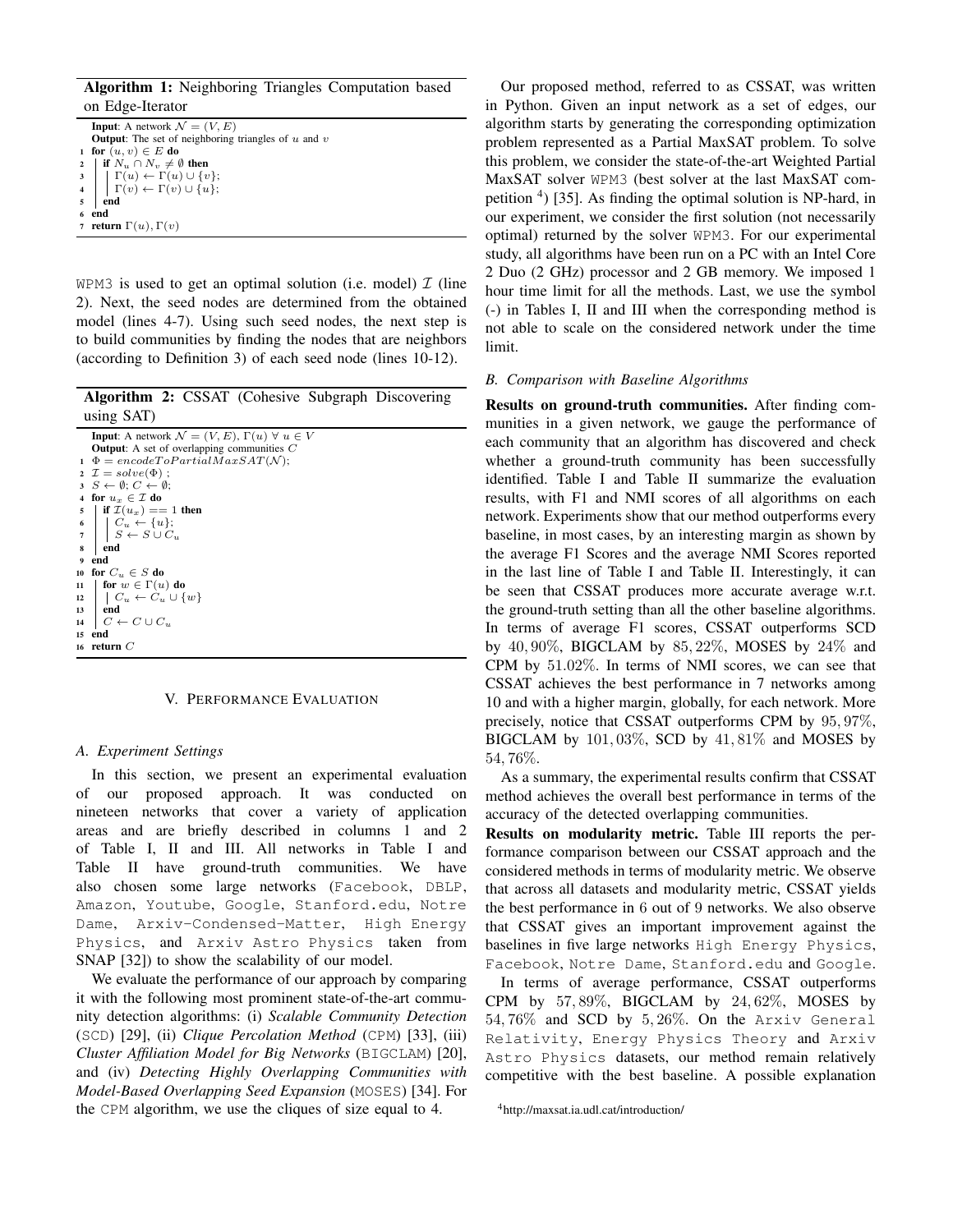Algorithm 1: Neighboring Triangles Computation based on Edge-Iterator

| <b>Input:</b> A network $\mathcal{N} = (V, E)$                                                                                                                                                                                                                                                  |
|-------------------------------------------------------------------------------------------------------------------------------------------------------------------------------------------------------------------------------------------------------------------------------------------------|
| <b>Output:</b> The set of neighboring triangles of $u$ and $v$                                                                                                                                                                                                                                  |
| 1 for $(u, v) \in E$ do                                                                                                                                                                                                                                                                         |
|                                                                                                                                                                                                                                                                                                 |
|                                                                                                                                                                                                                                                                                                 |
| $\begin{array}{c} \texttt{2} \\ \texttt{3} \\ \texttt{4} \\ \texttt{5} \\ \texttt{8} \end{array} \quad \begin{array}{c} \texttt{if $N_u \cap N_v \neq \emptyset$ then} \\ \Gamma(u) \leftarrow \Gamma(u) \cup \{v\}; \\ \Gamma(v) \leftarrow \Gamma(v) \cup \{u\}; \\ \texttt{end} \end{array}$ |
|                                                                                                                                                                                                                                                                                                 |
| 6 end                                                                                                                                                                                                                                                                                           |
| 7 return $\Gamma(u)$ , $\Gamma(v)$                                                                                                                                                                                                                                                              |
|                                                                                                                                                                                                                                                                                                 |

WPM3 is used to get an optimal solution (i.e. model)  $\mathcal I$  (line 2). Next, the seed nodes are determined from the obtained model (lines 4-7). Using such seed nodes, the next step is to build communities by finding the nodes that are neighbors (according to Definition 3) of each seed node (lines 10-12).

Algorithm 2: CSSAT (Cohesive Subgraph Discovering using SAT)

| <b>Input:</b> A network $\mathcal{N} = (V, E), \Gamma(u) \ \forall u \in V$                                                                                                                                                                                                                                                                                                                                                                                                      |
|----------------------------------------------------------------------------------------------------------------------------------------------------------------------------------------------------------------------------------------------------------------------------------------------------------------------------------------------------------------------------------------------------------------------------------------------------------------------------------|
| <b>Output:</b> A set of overlapping communities $C$                                                                                                                                                                                                                                                                                                                                                                                                                              |
| $1 \Phi = encodeToPartialMaxSAT(N);$                                                                                                                                                                                                                                                                                                                                                                                                                                             |
| 2 $\mathcal{I} = solve(\Phi)$ ;                                                                                                                                                                                                                                                                                                                                                                                                                                                  |
| $S \leftarrow \emptyset: C \leftarrow \emptyset$ :                                                                                                                                                                                                                                                                                                                                                                                                                               |
| 4 for $u_x \in \mathcal{I}$ do                                                                                                                                                                                                                                                                                                                                                                                                                                                   |
|                                                                                                                                                                                                                                                                                                                                                                                                                                                                                  |
|                                                                                                                                                                                                                                                                                                                                                                                                                                                                                  |
| $\begin{array}{c c} \mathfrak{s} & \text{if } \mathcal{\bar{I}}(u_x) == 1 \text{ then} \\ \mathfrak{s} & \begin{array}{ c} & C_u \leftarrow \{u\}; \\ S \leftarrow S \cup C_u \end{array} \\ \mathfrak{s} & \text{end} \end{array}$                                                                                                                                                                                                                                              |
|                                                                                                                                                                                                                                                                                                                                                                                                                                                                                  |
| <sub>9</sub> end                                                                                                                                                                                                                                                                                                                                                                                                                                                                 |
| 10 for $C_u \in S$ do                                                                                                                                                                                                                                                                                                                                                                                                                                                            |
|                                                                                                                                                                                                                                                                                                                                                                                                                                                                                  |
| $\begin{array}{c} \hbox{11 } \\ \hbox{12 } \\ \end{array} \left  \begin{array}{l} \hbox{for $w \in \Gamma(u)$ do} \\ \hbox{I\hskip -2pt C_u \leftarrow C_u \cup \{w\} \end{array} \right. \hbox{ \qquad } \hbox{ \qquad } \hbox{ \qquad } \hbox{ \qquad } \hbox{ \qquad } \hbox{ \qquad } \hbox{ \quad } \hbox{ \quad } \hbox{ \quad } \hbox{ \quad } \hbox{ \quad } \hbox{ \quad } \hbox{ \quad } \hbox{ \quad } \hbox{ \quad } \hbox{ \quad } \hbox{ \quad } \hbox{ \quad } \$ |
| $13$ end                                                                                                                                                                                                                                                                                                                                                                                                                                                                         |
| $14 \mid C \leftarrow C \cup C_u$                                                                                                                                                                                                                                                                                                                                                                                                                                                |
| 15 end                                                                                                                                                                                                                                                                                                                                                                                                                                                                           |
| 16 return $C$                                                                                                                                                                                                                                                                                                                                                                                                                                                                    |
|                                                                                                                                                                                                                                                                                                                                                                                                                                                                                  |

#### V. PERFORMANCE EVALUATION

#### *A. Experiment Settings*

In this section, we present an experimental evaluation of our proposed approach. It was conducted on nineteen networks that cover a variety of application areas and are briefly described in columns 1 and 2 of Table I, II and III. All networks in Table I and Table II have ground-truth communities. We have also chosen some large networks (Facebook, DBLP, Amazon, Youtube, Google, Stanford.edu, Notre Dame, Arxiv-Condensed-Matter, High Energy Physics, and Arxiv Astro Physics taken from SNAP [32]) to show the scalability of our model.

We evaluate the performance of our approach by comparing it with the following most prominent state-of-the-art community detection algorithms: (i) *Scalable Community Detection* (SCD) [29], (ii) *Clique Percolation Method* (CPM) [33], (iii) *Cluster Affiliation Model for Big Networks* (BIGCLAM) [20], and (iv) *Detecting Highly Overlapping Communities with Model-Based Overlapping Seed Expansion* (MOSES) [34]. For the CPM algorithm, we use the cliques of size equal to 4.

Our proposed method, referred to as CSSAT, was written in Python. Given an input network as a set of edges, our algorithm starts by generating the corresponding optimization problem represented as a Partial MaxSAT problem. To solve this problem, we consider the state-of-the-art Weighted Partial MaxSAT solver WPM3 (best solver at the last MaxSAT competition <sup>4</sup> ) [35]. As finding the optimal solution is NP-hard, in our experiment, we consider the first solution (not necessarily optimal) returned by the solver WPM3. For our experimental study, all algorithms have been run on a PC with an Intel Core 2 Duo (2 GHz) processor and 2 GB memory. We imposed 1 hour time limit for all the methods. Last, we use the symbol (-) in Tables I, II and III when the corresponding method is not able to scale on the considered network under the time limit.

#### *B. Comparison with Baseline Algorithms*

Results on ground-truth communities. After finding communities in a given network, we gauge the performance of each community that an algorithm has discovered and check whether a ground-truth community has been successfully identified. Table I and Table II summarize the evaluation results, with F1 and NMI scores of all algorithms on each network. Experiments show that our method outperforms every baseline, in most cases, by an interesting margin as shown by the average F1 Scores and the average NMI Scores reported in the last line of Table I and Table II. Interestingly, it can be seen that CSSAT produces more accurate average w.r.t. the ground-truth setting than all the other baseline algorithms. In terms of average F1 scores, CSSAT outperforms SCD by 40, 90%, BIGCLAM by 85, 22%, MOSES by 24% and CPM by 51.02%. In terms of NMI scores, we can see that CSSAT achieves the best performance in 7 networks among 10 and with a higher margin, globally, for each network. More precisely, notice that CSSAT outperforms CPM by 95, 97%, BIGCLAM by  $101,03\%$ , SCD by  $41,81\%$  and MOSES by 54, 76%.

As a summary, the experimental results confirm that CSSAT method achieves the overall best performance in terms of the accuracy of the detected overlapping communities.

Results on modularity metric. Table III reports the performance comparison between our CSSAT approach and the considered methods in terms of modularity metric. We observe that across all datasets and modularity metric, CSSAT yields the best performance in 6 out of 9 networks. We also observe that CSSAT gives an important improvement against the baselines in five large networks High Energy Physics, Facebook, Notre Dame, Stanford.edu and Google.

In terms of average performance, CSSAT outperforms CPM by  $57,89\%$ , BIGCLAM by  $24,62\%$ , MOSES by  $54,76\%$  and SCD by  $5,26\%$ . On the Arxiv General Relativity, Energy Physics Theory and Arxiv Astro Physics datasets, our method remain relatively competitive with the best baseline. A possible explanation

<sup>4</sup>http://maxsat.ia.udl.cat/introduction/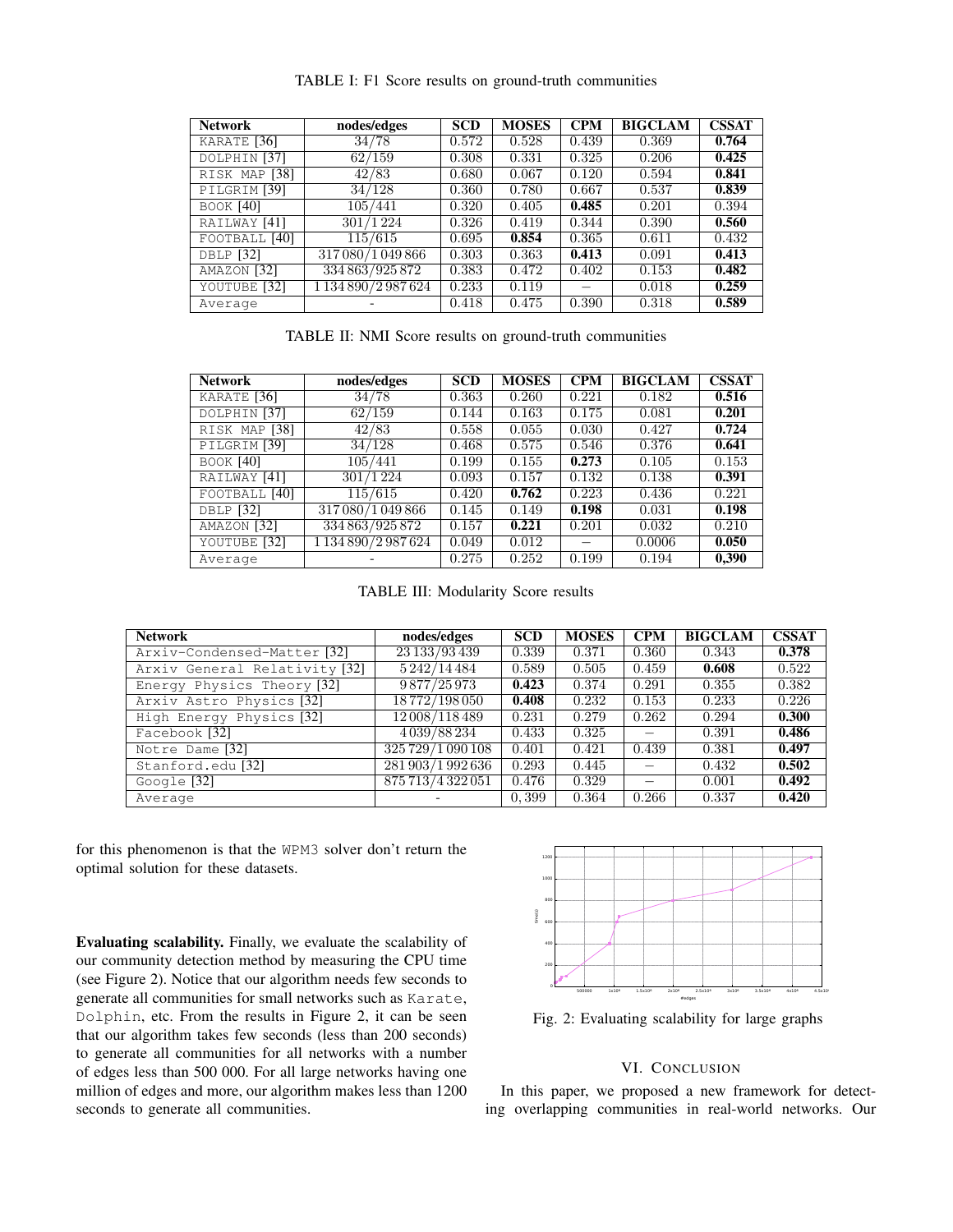| <b>Network</b>           | nodes/edges                   | <b>SCD</b> | <b>MOSES</b> | <b>CPM</b> | <b>BIGCLAM</b> | <b>CSSAT</b> |
|--------------------------|-------------------------------|------------|--------------|------------|----------------|--------------|
| KARATE <sup>[36]</sup>   | 34/78                         | 0.572      | 0.528        | 0.439      | 0.369          | 0.764        |
| DOLPHIN <sub>[37]</sub>  | 62/159                        | 0.308      | 0.331        | 0.325      | 0.206          | 0.425        |
| RISK MAP <sup>[38]</sup> | 42/83                         | 0.680      | 0.067        | 0.120      | 0.594          | 0.841        |
| PILGRIM [39]             | 34/128                        | 0.360      | 0.780        | 0.667      | 0.537          | 0.839        |
| <b>BOOK [40]</b>         | 105/441                       | 0.320      | 0.405        | 0.485      | 0.201          | 0.394        |
| RAILWAY [41]             | 301/1224                      | 0.326      | 0.419        | 0.344      | 0.390          | 0.560        |
| FOOTBALL [40]            | 115/615                       | 0.695      | 0.854        | 0.365      | 0.611          | 0.432        |
| <b>DBLP</b> [32]         | 317 080/1 049 866             | 0.303      | 0.363        | 0.413      | 0.091          | 0.413        |
| AMAZON [32]              | 334 863/925 872               | 0.383      | 0.472        | 0.402      | 0.153          | 0.482        |
| YOUTUBE [32]             | 1 1 3 4 8 9 0 / 2 9 8 7 6 2 4 | 0.233      | 0.119        |            | 0.018          | 0.259        |
| Average                  |                               | 0.418      | 0.475        | 0.390      | 0.318          | 0.589        |

TABLE I: F1 Score results on ground-truth communities

TABLE II: NMI Score results on ground-truth communities

| <b>Network</b>           | nodes/edges         | <b>SCD</b> | <b>MOSES</b> | <b>CPM</b> | <b>BIGCLAM</b> | <b>CSSAT</b> |
|--------------------------|---------------------|------------|--------------|------------|----------------|--------------|
| KARATE <sup>[36]</sup>   | 34/78               | 0.363      | 0.260        | 0.221      | 0.182          | 0.516        |
| DOLPHIN <sub>[37]</sub>  | 62/159              | 0.144      | 0.163        | 0.175      | 0.081          | 0.201        |
| RISK MAP <sup>[38]</sup> | 42/83               | 0.558      | 0.055        | 0.030      | 0.427          | 0.724        |
| PILGRIM [39]             | 34/128              | 0.468      | 0.575        | 0.546      | 0.376          | 0.641        |
| <b>BOOK [40]</b>         | 105/441             | 0.199      | 0.155        | 0.273      | 0.105          | 0.153        |
| RAILWAY [41]             | 301/1224            | 0.093      | 0.157        | 0.132      | 0.138          | 0.391        |
| FOOTBALL [40]            | 115/615             | 0.420      | 0.762        | 0.223      | 0.436          | 0.221        |
| <b>DBLP</b> [32]         | 317 080/1 049 866   | 0.145      | 0.149        | 0.198      | 0.031          | 0.198        |
| AMAZON [32]              | 334 863/925 872     | 0.157      | 0.221        | 0.201      | 0.032          | 0.210        |
| YOUTUBE [32]             | 1 134 890/2 987 624 | 0.049      | 0.012        |            | 0.0006         | 0.050        |
| Average                  |                     | 0.275      | 0.252        | 0.199      | 0.194          | 0,390        |

TABLE III: Modularity Score results

| <b>Network</b>                | nodes/edges       | <b>SCD</b> | <b>MOSES</b> | <b>CPM</b> | <b>BIGCLAM</b> | <b>CSSAT</b> |
|-------------------------------|-------------------|------------|--------------|------------|----------------|--------------|
| Arxiv-Condensed-Matter [32]   | 23 133/93 439     | 0.339      | 0.371        | 0.360      | 0.343          | 0.378        |
| Arxiv General Relativity [32] | 5 242/14 484      | 0.589      | 0.505        | 0.459      | 0.608          | 0.522        |
| Energy Physics Theory [32]    | 9877/25973        | 0.423      | 0.374        | 0.291      | 0.355          | 0.382        |
| Arxiv Astro Physics [32]      | 18 772/198 050    | 0.408      | 0.232        | 0.153      | 0.233          | 0.226        |
| High Energy Physics [32]      | 12 008/118 489    | 0.231      | 0.279        | 0.262      | 0.294          | 0.300        |
| Facebook [32]                 | 4 0 39/88 234     | 0.433      | 0.325        |            | 0.391          | 0.486        |
| Notre Dame [32]               | 325 729/1090 108  | 0.401      | 0.421        | 0.439      | 0.381          | 0.497        |
| Stanford.edu [32]             | 281 903/1 992 636 | 0.293      | 0.445        |            | 0.432          | 0.502        |
| Google [32]                   | 875713/4322051    | 0.476      | 0.329        |            | 0.001          | 0.492        |
| Average                       |                   | 0.399      | 0.364        | 0.266      | 0.337          | 0.420        |

for this phenomenon is that the WPM3 solver don't return the optimal solution for these datasets.

Evaluating scalability. Finally, we evaluate the scalability of our community detection method by measuring the CPU time (see Figure 2). Notice that our algorithm needs few seconds to generate all communities for small networks such as Karate, Dolphin, etc. From the results in Figure 2, it can be seen that our algorithm takes few seconds (less than 200 seconds) to generate all communities for all networks with a number of edges less than 500 000. For all large networks having one million of edges and more, our algorithm makes less than 1200 seconds to generate all communities.



Fig. 2: Evaluating scalability for large graphs

#### VI. CONCLUSION

In this paper, we proposed a new framework for detecting overlapping communities in real-world networks. Our